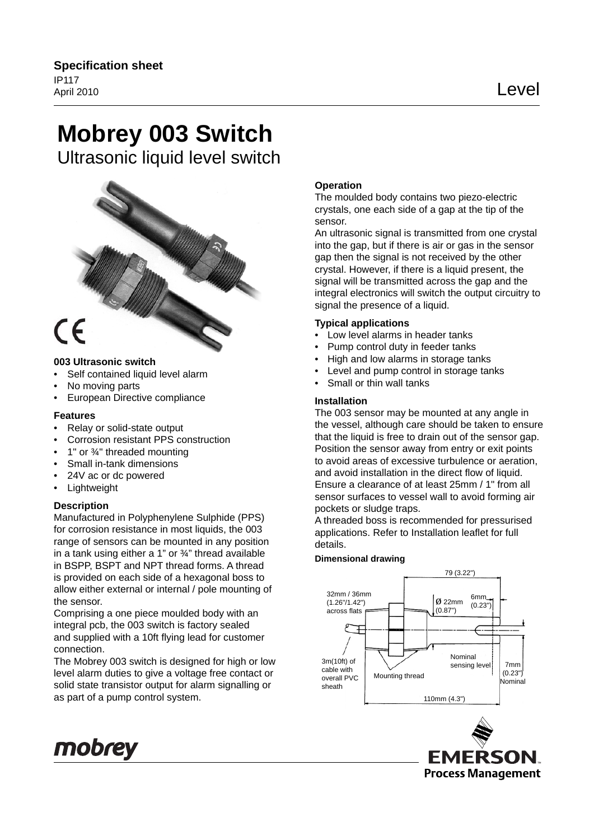# **Mobrey 003 Switch**

Ultrasonic liquid level switch



## **003 Ultrasonic switch**

- Self contained liquid level alarm
- No moving parts
- European Directive compliance

# **Features**

- Relay or solid-state output
- Corrosion resistant PPS construction
- 1" or ¾" threaded mounting
- Small in-tank dimensions
- 24V ac or dc powered
- Lightweight

## **Description**

Manufactured in Polyphenylene Sulphide (PPS) for corrosion resistance in most liquids, the 003 range of sensors can be mounted in any position in a tank using either a 1" or  $\frac{3}{4}$ " thread available in BSPP, BSPT and NPT thread forms. A thread is provided on each side of a hexagonal boss to allow either external or internal / pole mounting of the sensor.

Comprising a one piece moulded body with an integral pcb, the 003 switch is factory sealed and supplied with a 10ft flying lead for customer connection.

The Mobrey 003 switch is designed for high or low level alarm duties to give a voltage free contact or solid state transistor output for alarm signalling or as part of a pump control system.

# **Operation**

The moulded body contains two piezo-electric crystals, one each side of a gap at the tip of the sensor.

An ultrasonic signal is transmitted from one crystal into the gap, but if there is air or gas in the sensor gap then the signal is not received by the other crystal. However, if there is a liquid present, the signal will be transmitted across the gap and the integral electronics will switch the output circuitry to signal the presence of a liquid.

## **Typical applications**

- Low level alarms in header tanks
- Pump control duty in feeder tanks
- High and low alarms in storage tanks
- Level and pump control in storage tanks
- Small or thin wall tanks

## **Installation**

The 003 sensor may be mounted at any angle in the vessel, although care should be taken to ensure that the liquid is free to drain out of the sensor gap. Position the sensor away from entry or exit points to avoid areas of excessive turbulence or aeration, and avoid installation in the direct flow of liquid. Ensure a clearance of at least 25mm / 1" from all sensor surfaces to vessel wall to avoid forming air pockets or sludge traps.

A threaded boss is recommended for pressurised applications. Refer to Installation leaflet for full details.

#### **Dimensional drawing**